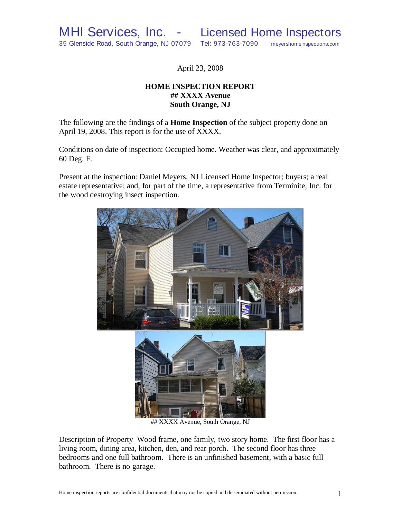April 23, 2008

# **HOME INSPECTION REPORT ## XXXX Avenue South Orange, NJ**

The following are the findings of a **Home Inspection** of the subject property done on April 19, 2008. This report is for the use of XXXX.

Conditions on date of inspection: Occupied home. Weather was clear, and approximately 60 Deg. F.

Present at the inspection: Daniel Meyers, NJ Licensed Home Inspector; buyers; a real estate representative; and, for part of the time, a representative from Terminite, Inc. for the wood destroying insect inspection.



## XXXX Avenue, South Orange, NJ

Description of Property Wood frame, one family, two story home. The first floor has a living room, dining area, kitchen, den, and rear porch. The second floor has three bedrooms and one full bathroom. There is an unfinished basement, with a basic full bathroom. There is no garage.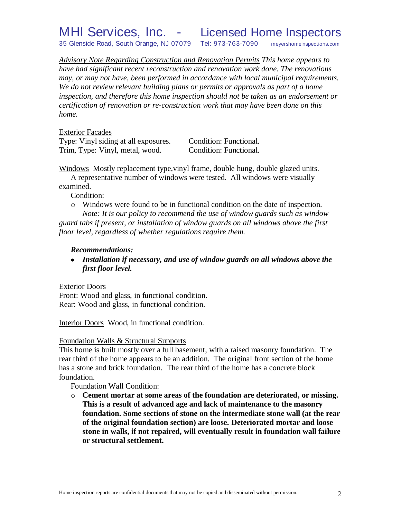MHI Services, Inc. - Licensed Home Inspectors 35 Glenside Road, South Orange, NJ 07079 Tel: 973-763-7090 meyershomeinspections.com

*Advisory Note Regarding Construction and Renovation Permits This home appears to have had significant recent reconstruction and renovation work done. The renovations may, or may not have, been performed in accordance with local municipal requirements. We do not review relevant building plans or permits or approvals as part of a home inspection, and therefore this home inspection should not be taken as an endorsement or certification of renovation or re-construction work that may have been done on this home.*

Exterior Facades

Type: Vinyl siding at all exposures. Condition: Functional. Trim, Type: Vinyl, metal, wood. Condition: Functional.

Windows Mostly replacement type,vinyl frame, double hung, double glazed units.

A representative number of windows were tested. All windows were visually examined.

Condition:

o Windows were found to be in functional condition on the date of inspection. *Note: It is our policy to recommend the use of window guards such as window guard tabs if present, or installation of window guards on all windows above the first floor level, regardless of whether regulations require them.*

#### *Recommendations:*

*Installation if necessary, and use of window guards on all windows above the first floor level.*

#### Exterior Doors

Front: Wood and glass, in functional condition. Rear: Wood and glass, in functional condition.

Interior Doors Wood, in functional condition.

#### Foundation Walls & Structural Supports

This home is built mostly over a full basement, with a raised masonry foundation. The rear third of the home appears to be an addition. The original front section of the home has a stone and brick foundation. The rear third of the home has a concrete block foundation.

Foundation Wall Condition:

o **Cement mortar at some areas of the foundation are deteriorated, or missing. This is a result of advanced age and lack of maintenance to the masonry foundation. Some sections of stone on the intermediate stone wall (at the rear of the original foundation section) are loose. Deteriorated mortar and loose stone in walls, if not repaired, will eventually result in foundation wall failure or structural settlement.**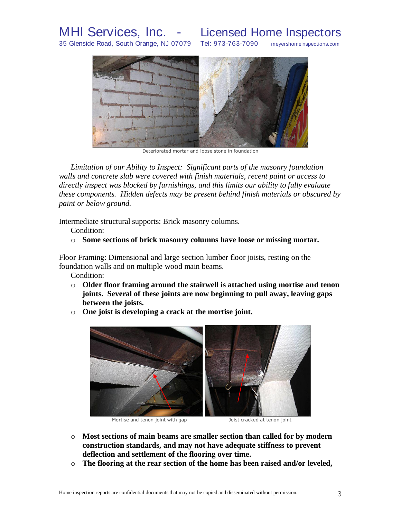MHI Services, Inc. - Licensed Home Inspectors<br>35 Glenside Road, South Orange, NJ 07079 Tel: 973-763-7090 meyershomeinspections.com 35 Glenside Road, South Orange, NJ 07079 Tel: 973-763-7090 meyershomeinspections.com



Deteriorated mortar and loose stone in foundation

*Limitation of our Ability to Inspect: Significant parts of the masonry foundation walls and concrete slab were covered with finish materials, recent paint or access to directly inspect was blocked by furnishings, and this limits our ability to fully evaluate these components. Hidden defects may be present behind finish materials or obscured by paint or below ground.*

Intermediate structural supports: Brick masonry columns.

Condition:

o **Some sections of brick masonry columns have loose or missing mortar.**

Floor Framing: Dimensional and large section lumber floor joists, resting on the foundation walls and on multiple wood main beams.

Condition:

- o **Older floor framing around the stairwell is attached using mortise and tenon joints. Several of these joints are now beginning to pull away, leaving gaps between the joists.**
	-

o **One joist is developing a crack at the mortise joint.**

Mortise and tenon joint with gap Theorem Joist cracked at tenon joint

- o **Most sections of main beams are smaller section than called for by modern construction standards, and may not have adequate stiffness to prevent deflection and settlement of the flooring over time.**
- o **The flooring at the rear section of the home has been raised and/or leveled,**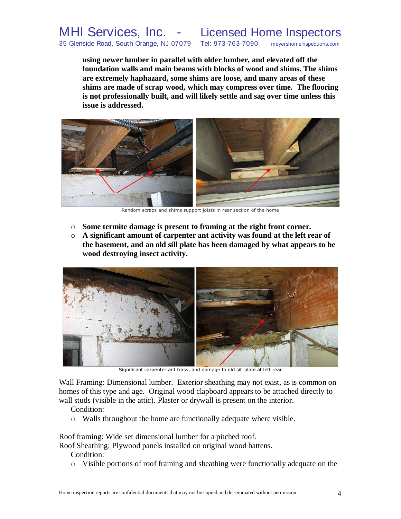**using newer lumber in parallel with older lumber, and elevated off the foundation walls and main beams with blocks of wood and shims. The shims are extremely haphazard, some shims are loose, and many areas of these shims are made of scrap wood, which may compress over time. The flooring is not professionally built, and will likely settle and sag over time unless this issue is addressed.**



**Random scraps and shims support joists in rear section of the home** 

- o **Some termite damage is present to framing at the right front corner.**
- o **A significant amount of carpenter ant activity was found at the left rear of the basement, and an old sill plate has been damaged by what appears to be wood destroying insect activity.**



Significant carpenter ant frass, and damage to old sill plate at left rear

Wall Framing: Dimensional lumber. Exterior sheathing may not exist, as is common on homes of this type and age. Original wood clapboard appears to be attached directly to wall studs (visible in the attic). Plaster or drywall is present on the interior.

- Condition:
- o Walls throughout the home are functionally adequate where visible.

Roof framing: Wide set dimensional lumber for a pitched roof.

Roof Sheathing: Plywood panels installed on original wood battens.

Condition:

o Visible portions of roof framing and sheathing were functionally adequate on the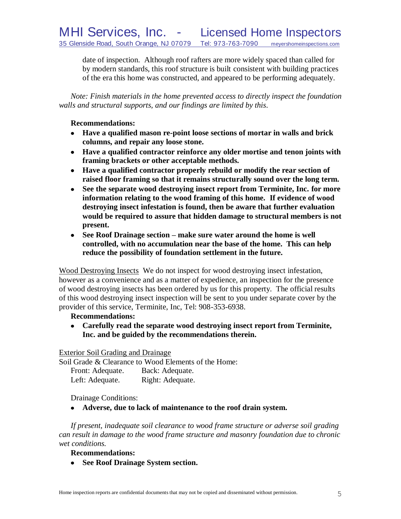date of inspection. Although roof rafters are more widely spaced than called for by modern standards, this roof structure is built consistent with building practices of the era this home was constructed, and appeared to be performing adequately.

*Note: Finish materials in the home prevented access to directly inspect the foundation walls and structural supports, and our findings are limited by this*.

### **Recommendations:**

- **Have a qualified mason re-point loose sections of mortar in walls and brick columns, and repair any loose stone.**
- **Have a qualified contractor reinforce any older mortise and tenon joints with framing brackets or other acceptable methods.**
- **Have a qualified contractor properly rebuild or modify the rear section of raised floor framing so that it remains structurally sound over the long term.**
- **See the separate wood destroying insect report from Terminite, Inc. for more information relating to the wood framing of this home. If evidence of wood destroying insect infestation is found, then be aware that further evaluation would be required to assure that hidden damage to structural members is not present.**
- **See Roof Drainage section – make sure water around the home is well controlled, with no accumulation near the base of the home. This can help reduce the possibility of foundation settlement in the future.**

Wood Destroying Insects We do not inspect for wood destroying insect infestation, however as a convenience and as a matter of expedience, an inspection for the presence of wood destroying insects has been ordered by us for this property. The official results of this wood destroying insect inspection will be sent to you under separate cover by the provider of this service, Terminite, Inc, Tel: 908-353-6938.

# **Recommendations:**

**Carefully read the separate wood destroying insect report from Terminite, Inc. and be guided by the recommendations therein.**

Exterior Soil Grading and Drainage

Soil Grade & Clearance to Wood Elements of the Home:

| Front: Adequate. | Back: Adequate.  |
|------------------|------------------|
| Left: Adequate.  | Right: Adequate. |

Drainage Conditions:

**Adverse, due to lack of maintenance to the roof drain system.**

*If present, inadequate soil clearance to wood frame structure or adverse soil grading can result in damage to the wood frame structure and masonry foundation due to chronic wet conditions.*

#### **Recommendations:**

**See Roof Drainage System section.**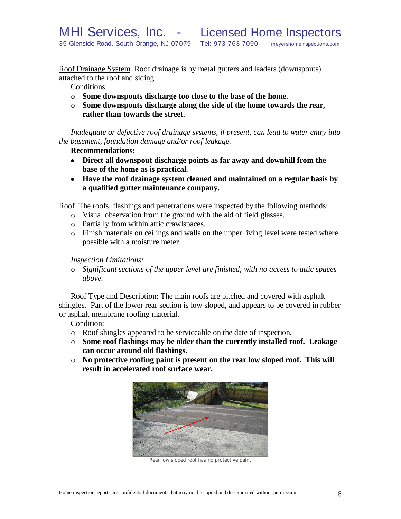Roof Drainage System Roof drainage is by metal gutters and leaders (downspouts) attached to the roof and siding.

Conditions:

- o **Some downspouts discharge too close to the base of the home.**
- o **Some downspouts discharge along the side of the home towards the rear, rather than towards the street.**

*Inadequate or defective roof drainage systems, if present, can lead to water entry into the basement, foundation damage and/or roof leakage.*

#### **Recommendations:**

- **Direct all downspout discharge points as far away and downhill from the base of the home as is practical.**
- **Have the roof drainage system cleaned and maintained on a regular basis by a qualified gutter maintenance company.**

Roof The roofs, flashings and penetrations were inspected by the following methods:

- o Visual observation from the ground with the aid of field glasses.
- o Partially from within attic crawlspaces.
- o Finish materials on ceilings and walls on the upper living level were tested where possible with a moisture meter.

### *Inspection Limitations:*

o *Significant sections of the upper level are finished, with no access to attic spaces above.*

Roof Type and Description: The main roofs are pitched and covered with asphalt shingles. Part of the lower rear section is low sloped, and appears to be covered in rubber or asphalt membrane roofing material.

Condition:

- o Roof shingles appeared to be serviceable on the date of inspection.
- o **Some roof flashings may be older than the currently installed roof. Leakage can occur around old flashings.**
- o **No protective roofing paint is present on the rear low sloped roof. This will result in accelerated roof surface wear.**



Rear low sloped roof has no protective paint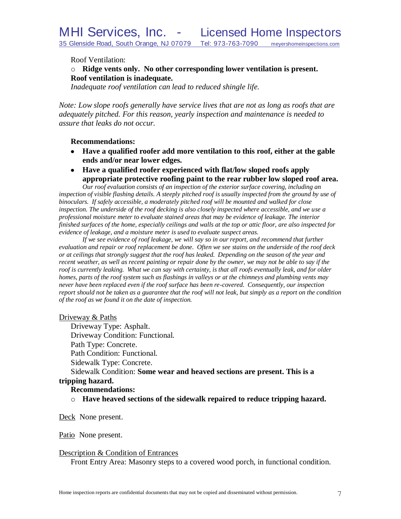Roof Ventilation:

# o **Ridge vents only. No other corresponding lower ventilation is present. Roof ventilation is inadequate.**

*Inadequate roof ventilation can lead to reduced shingle life.*

*Note: Low slope roofs generally have service lives that are not as long as roofs that are adequately pitched. For this reason, yearly inspection and maintenance is needed to assure that leaks do not occur.*

#### **Recommendations:**

- **Have a qualified roofer add more ventilation to this roof, either at the gable ends and/or near lower edges.**
- **Have a qualified roofer experienced with flat/low sloped roofs apply appropriate protective roofing paint to the rear rubber low sloped roof area.**

*Our roof evaluation consists of an inspection of the exterior surface covering, including an*  inspection of visible flashing details. A steeply pitched roof is usually inspected from the ground by use of *binoculars. If safely accessible, a moderately pitched roof will be mounted and walked for close inspection. The underside of the roof decking is also closely inspected where accessible, and we use a professional moisture meter to evaluate stained areas that may be evidence of leakage. The interior finished surfaces of the home, especially ceilings and walls at the top or attic floor, are also inspected for evidence of leakage, and a moisture meter is used to evaluate suspect areas.*

*If we see evidence of roof leakage, we will say so in our report, and recommend that further evaluation and repair or roof replacement be done. Often we see stains on the underside of the roof deck or at ceilings that strongly suggest that the roof has leaked. Depending on the season of the year and recent weather, as well as recent painting or repair done by the owner, we may not be able to say if the roof is currently leaking. What we can say with certainty, is that all roofs eventually leak, and for older homes, parts of the roof system such as flashings in valleys or at the chimneys and plumbing vents may never have been replaced even if the roof surface has been re-covered. Consequently, our inspection report should not be taken as a guarantee that the roof will not leak, but simply as a report on the condition of the roof as we found it on the date of inspection.*

#### Driveway & Paths

Driveway Type: Asphalt. Driveway Condition: Functional. Path Type: Concrete. Path Condition: Functional. Sidewalk Type: Concrete.

Sidewalk Condition: **Some wear and heaved sections are present. This is a tripping hazard.**

#### **Recommendations:**

o **Have heaved sections of the sidewalk repaired to reduce tripping hazard.**

#### Deck None present.

Patio None present.

#### Description & Condition of Entrances

Front Entry Area: Masonry steps to a covered wood porch, in functional condition.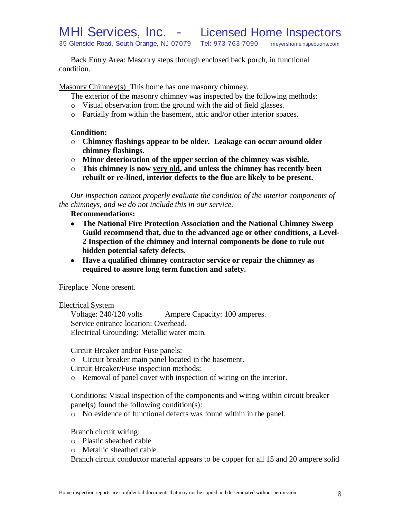Back Entry Area: Masonry steps through enclosed back porch, in functional condition.

Masonry Chimney(s) This home has one masonry chimney.

- The exterior of the masonry chimney was inspected by the following methods:
- o Visual observation from the ground with the aid of field glasses.
- o Partially from within the basement, attic and/or other interior spaces.

### **Condition:**

- o **Chimney flashings appear to be older. Leakage can occur around older chimney flashings.**
- o **Minor deterioration of the upper section of the chimney was visible.**
- o **This chimney is now very old, and unless the chimney has recently been rebuilt or re-lined, interior defects to the flue are likely to be present.**

*Our inspection cannot properly evaluate the condition of the interior components of the chimneys, and we do not include this in our service.*

**Recommendations:**

- **The National Fire Protection Association and the National Chimney Sweep**   $\bullet$ **Guild recommend that, due to the advanced age or other conditions, a Level-2 Inspection of the chimney and internal components be done to rule out hidden potential safety defects***.*
- **Have a qualified chimney contractor service or repair the chimney as required to assure long term function and safety.**

Fireplace None present.

#### Electrical System

Voltage: 240/120 volts Ampere Capacity: 100 amperes. Service entrance location: Overhead. Electrical Grounding: Metallic water main.

Circuit Breaker and/or Fuse panels:

o Circuit breaker main panel located in the basement.

Circuit Breaker/Fuse inspection methods:

o Removal of panel cover with inspection of wiring on the interior.

Conditions: Visual inspection of the components and wiring within circuit breaker panel(s) found the following condition(s):

o No evidence of functional defects was found within in the panel.

Branch circuit wiring:

- o Plastic sheathed cable
- o Metallic sheathed cable

Branch circuit conductor material appears to be copper for all 15 and 20 ampere solid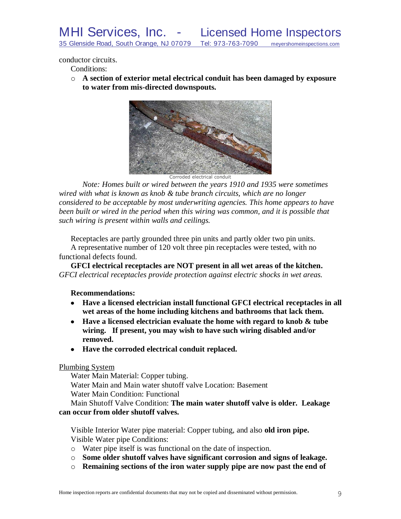conductor circuits.

Conditions:

o **A section of exterior metal electrical conduit has been damaged by exposure to water from mis-directed downspouts.**



*Note: Homes built or wired between the years 1910 and 1935 were sometimes wired with what is known as knob & tube branch circuits, which are no longer considered to be acceptable by most underwriting agencies. This home appears to have been built or wired in the period when this wiring was common, and it is possible that such wiring is present within walls and ceilings.*

Receptacles are partly grounded three pin units and partly older two pin units. A representative number of 120 volt three pin receptacles were tested, with no functional defects found.

**GFCI electrical receptacles are NOT present in all wet areas of the kitchen.** *GFCI electrical receptacles provide protection against electric shocks in wet areas.*

**Recommendations:**

- **Have a licensed electrician install functional GFCI electrical receptacles in all wet areas of the home including kitchens and bathrooms that lack them.**
- **Have a licensed electrician evaluate the home with regard to knob & tube wiring. If present, you may wish to have such wiring disabled and/or removed.**
- **Have the corroded electrical conduit replaced.**

#### Plumbing System

Water Main Material: Copper tubing.

Water Main and Main water shutoff valve Location: Basement

Water Main Condition: Functional

Main Shutoff Valve Condition: **The main water shutoff valve is older. Leakage can occur from older shutoff valves.**

Visible Interior Water pipe material: Copper tubing, and also **old iron pipe.** Visible Water pipe Conditions:

o Water pipe itself is was functional on the date of inspection.

- o **Some older shutoff valves have significant corrosion and signs of leakage.**
- o **Remaining sections of the iron water supply pipe are now past the end of**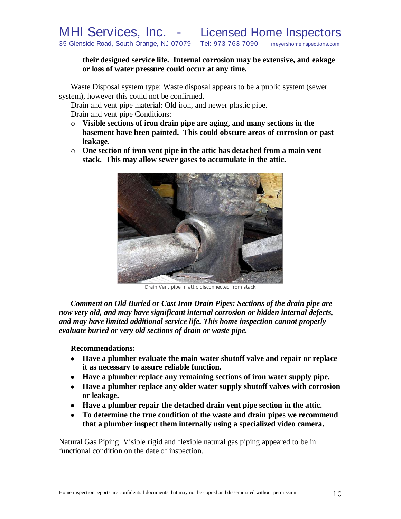**their designed service life. Internal corrosion may be extensive, and eakage or loss of water pressure could occur at any time.**

Waste Disposal system type: Waste disposal appears to be a public system (sewer system), however this could not be confirmed.

Drain and vent pipe material: Old iron, and newer plastic pipe.

Drain and vent pipe Conditions:

- o **Visible sections of iron drain pipe are aging, and many sections in the basement have been painted. This could obscure areas of corrosion or past leakage.**
- o **One section of iron vent pipe in the attic has detached from a main vent stack. This may allow sewer gases to accumulate in the attic.**



Drain Vent pipe in attic disconnected from stack

*Comment on Old Buried or Cast Iron Drain Pipes: Sections of the drain pipe are now very old, and may have significant internal corrosion or hidden internal defects, and may have limited additional service life. This home inspection cannot properly evaluate buried or very old sections of drain or waste pipe.*

**Recommendations:**

- **Have a plumber evaluate the main water shutoff valve and repair or replace it as necessary to assure reliable function.**
- **Have a plumber replace any remaining sections of iron water supply pipe.**
- **Have a plumber replace any older water supply shutoff valves with corrosion or leakage.**
- **Have a plumber repair the detached drain vent pipe section in the attic.**
- **To determine the true condition of the waste and drain pipes we recommend that a plumber inspect them internally using a specialized video camera.**

Natural Gas Piping Visible rigid and flexible natural gas piping appeared to be in functional condition on the date of inspection.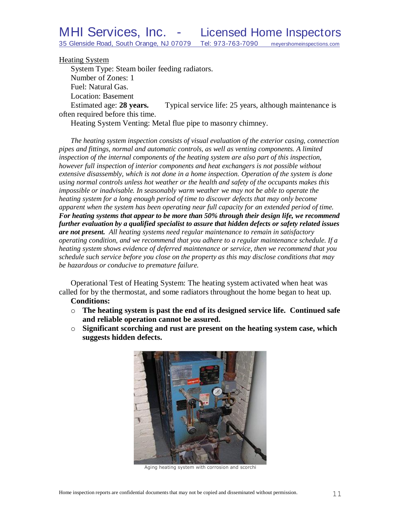Heating System

System Type: Steam boiler feeding radiators. Number of Zones: 1 Fuel: Natural Gas. Location: Basement Estimated age: **28 years.** Typical service life: 25 years, although maintenance is often required before this time.

Heating System Venting: Metal flue pipe to masonry chimney.

*The heating system inspection consists of visual evaluation of the exterior casing, connection pipes and fittings, normal and automatic controls, as well as venting components. A limited inspection of the internal components of the heating system are also part of this inspection, however full inspection of interior components and heat exchangers is not possible without extensive disassembly, which is not done in a home inspection. Operation of the system is done using normal controls unless hot weather or the health and safety of the occupants makes this impossible or inadvisable. In seasonably warm weather we may not be able to operate the heating system for a long enough period of time to discover defects that may only become apparent when the system has been operating near full capacity for an extended period of time. For heating systems that appear to be more than 50% through their design life, we recommend further evaluation by a qualified specialist to assure that hidden defects or safety related issues are not present. All heating systems need regular maintenance to remain in satisfactory operating condition, and we recommend that you adhere to a regular maintenance schedule. If a heating system shows evidence of deferred maintenance or service, then we recommend that you schedule such service before you close on the property as this may disclose conditions that may be hazardous or conducive to premature failure.*

Operational Test of Heating System: The heating system activated when heat was called for by the thermostat, and some radiators throughout the home began to heat up.

- **Conditions:**
- o **The heating system is past the end of its designed service life. Continued safe and reliable operation cannot be assured.**
- o **Significant scorching and rust are present on the heating system case, which suggests hidden defects.**



Aging heating system with corrosion and scorchi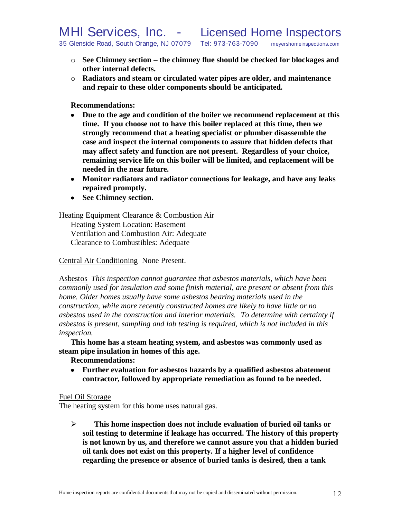- o **See Chimney section – the chimney flue should be checked for blockages and other internal defects.**
- o **Radiators and steam or circulated water pipes are older, and maintenance and repair to these older components should be anticipated.**

**Recommendations:**

- **Due to the age and condition of the boiler we recommend replacement at this time. If you choose not to have this boiler replaced at this time, then we strongly recommend that a heating specialist or plumber disassemble the case and inspect the internal components to assure that hidden defects that may affect safety and function are not present. Regardless of your choice, remaining service life on this boiler will be limited, and replacement will be needed in the near future.**
- **Monitor radiators and radiator connections for leakage, and have any leaks repaired promptly.**
- **See Chimney section.**

Heating Equipment Clearance & Combustion Air

Heating System Location: Basement Ventilation and Combustion Air: Adequate Clearance to Combustibles: Adequate

# Central Air Conditioning None Present.

Asbestos *This inspection cannot guarantee that asbestos materials, which have been commonly used for insulation and some finish material, are present or absent from this home. Older homes usually have some asbestos bearing materials used in the construction, while more recently constructed homes are likely to have little or no asbestos used in the construction and interior materials. To determine with certainty if asbestos is present, sampling and lab testing is required, which is not included in this inspection.* 

**This home has a steam heating system, and asbestos was commonly used as steam pipe insulation in homes of this age.**

#### **Recommendations:**

**Further evaluation for asbestos hazards by a qualified asbestos abatement contractor, followed by appropriate remediation as found to be needed.**

#### Fuel Oil Storage

The heating system for this home uses natural gas.

 **This home inspection does not include evaluation of buried oil tanks or soil testing to determine if leakage has occurred. The history of this property is not known by us, and therefore we cannot assure you that a hidden buried oil tank does not exist on this property. If a higher level of confidence regarding the presence or absence of buried tanks is desired, then a tank**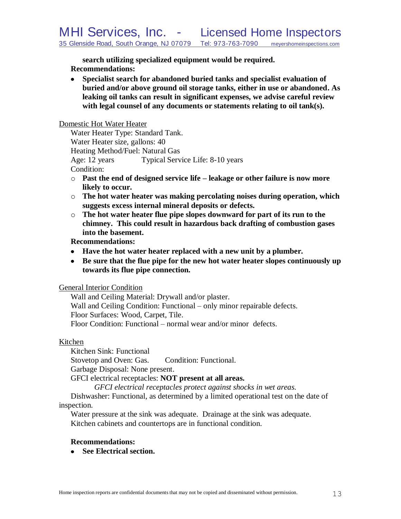**search utilizing specialized equipment would be required. Recommendations:**

**Specialist search for abandoned buried tanks and specialist evaluation of buried and/or above ground oil storage tanks, either in use or abandoned. As leaking oil tanks can result in significant expenses, we advise careful review with legal counsel of any documents or statements relating to oil tank(s).** 

#### Domestic Hot Water Heater

Water Heater Type: Standard Tank. Water Heater size, gallons: 40 Heating Method/Fuel: Natural Gas Age: 12 years Typical Service Life: 8-10 years Condition:

- o **Past the end of designed service life – leakage or other failure is now more likely to occur.**
- o **The hot water heater was making percolating noises during operation, which suggests excess internal mineral deposits or defects.**
- o **The hot water heater flue pipe slopes downward for part of its run to the chimney. This could result in hazardous back drafting of combustion gases into the basement.**

#### **Recommendations:**

- **Have the hot water heater replaced with a new unit by a plumber.**
- **Be sure that the flue pipe for the new hot water heater slopes continuously up towards its flue pipe connection.**

#### General Interior Condition

Wall and Ceiling Material: Drywall and/or plaster. Wall and Ceiling Condition: Functional – only minor repairable defects. Floor Surfaces: Wood, Carpet, Tile. Floor Condition: Functional – normal wear and/or minor defects.

#### Kitchen

Kitchen Sink: Functional

Stovetop and Oven: Gas. Condition: Functional.

Garbage Disposal: None present.

GFCI electrical receptacles: **NOT present at all areas.**

*GFCI electrical receptacles protect against shocks in wet areas.*

Dishwasher: Functional, as determined by a limited operational test on the date of inspection.

Water pressure at the sink was adequate. Drainage at the sink was adequate. Kitchen cabinets and countertops are in functional condition.

#### **Recommendations:**

**See Electrical section.**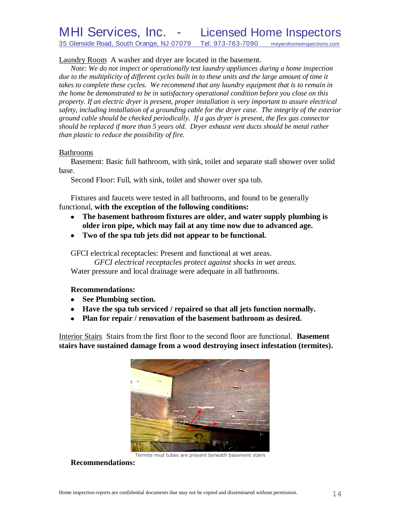# MHI Services, Inc. - Licensed Home Inspectors 35 Glenside Road, South Orange, NJ 07079 Tel: 973-763-7090 meyershomeinspections.com

Laundry Room A washer and dryer are located in the basement.

*Note: We do not inspect or operationally test laundry appliances during a home inspection*  due to the multiplicity of different cycles built in to these units and the large amount of time it *takes to complete these cycles. We recommend that any laundry equipment that is to remain in the home be demonstrated to be in satisfactory operational condition before you close on this property. If an electric dryer is present, proper installation is very important to assure electrical safety, including installation of a grounding cable for the dryer case. The integrity of the exterior ground cable should be checked periodically. If a gas dryer is present, the flex gas connector should be replaced if more than 5 years old. Dryer exhaust vent ducts should be metal rather than plastic to reduce the possibility of fire.*

#### Bathrooms

Basement: Basic full bathroom, with sink, toilet and separate stall shower over solid base.

Second Floor: Full, with sink, toilet and shower over spa tub.

Fixtures and faucets were tested in all bathrooms, and found to be generally functional, **with the exception of the following conditions:**

- **The basement bathroom fixtures are older, and water supply plumbing is**   $\bullet$ **older iron pipe, which may fail at any time now due to advanced age.**
- **Two of the spa tub jets did not appear to be functional.**

GFCI electrical receptacles: Present and functional at wet areas.

*GFCI electrical receptacles protect against shocks in wet areas.* Water pressure and local drainage were adequate in all bathrooms.

#### **Recommendations:**

- **See Plumbing section.**
- **Have the spa tub serviced / repaired so that all jets function normally.**
- **Plan for repair / renovation of the basement bathroom as desired.**

Interior Stairs Stairs from the first floor to the second floor are functional. **Basement stairs have sustained damage from a wood destroying insect infestation (termites).**



#### Termite mud tubes are present beneath basement stairs

**Recommendations:**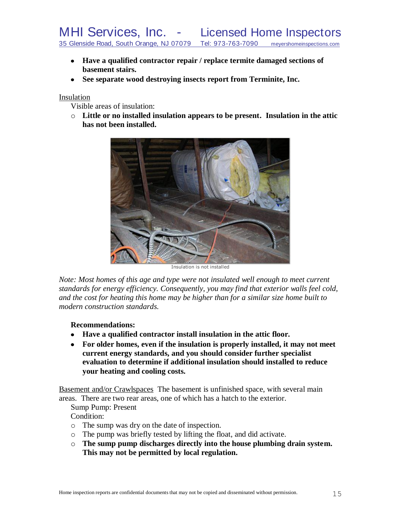- **Have a qualified contractor repair / replace termite damaged sections of basement stairs.**
- **See separate wood destroying insects report from Terminite, Inc.**

Insulation

Visible areas of insulation:

o **Little or no installed insulation appears to be present. Insulation in the attic has not been installed.**



Insulation is not installed

*Note: Most homes of this age and type were not insulated well enough to meet current standards for energy efficiency. Consequently, you may find that exterior walls feel cold, and the cost for heating this home may be higher than for a similar size home built to modern construction standards.*

**Recommendations:**

- **Have a qualified contractor install insulation in the attic floor.**
- **For older homes, even if the insulation is properly installed, it may not meet current energy standards, and you should consider further specialist evaluation to determine if additional insulation should installed to reduce your heating and cooling costs.**

Basement and/or Crawlspaces The basement is unfinished space, with several main areas. There are two rear areas, one of which has a hatch to the exterior.

Sump Pump: Present

Condition:

- o The sump was dry on the date of inspection.
- o The pump was briefly tested by lifting the float, and did activate.
- o **The sump pump discharges directly into the house plumbing drain system. This may not be permitted by local regulation.**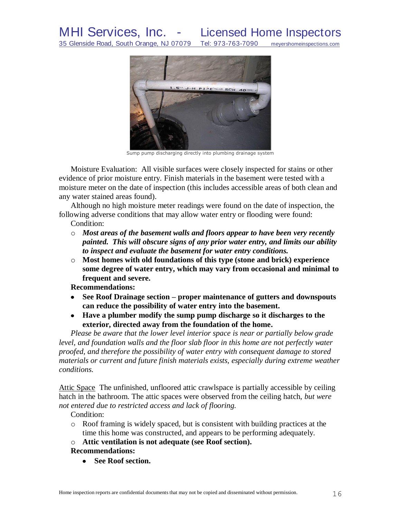

Sump pump discharging directly into plumbing drainage system

Moisture Evaluation: All visible surfaces were closely inspected for stains or other evidence of prior moisture entry. Finish materials in the basement were tested with a moisture meter on the date of inspection (this includes accessible areas of both clean and any water stained areas found).

Although no high moisture meter readings were found on the date of inspection, the following adverse conditions that may allow water entry or flooding were found: Condition:

- o *Most areas of the basement walls and floors appear to have been very recently painted. This will obscure signs of any prior water entry, and limits our ability to inspect and evaluate the basement for water entry conditions.*
- o **Most homes with old foundations of this type (stone and brick) experience some degree of water entry, which may vary from occasional and minimal to frequent and severe.**

**Recommendations:**

- **See Roof Drainage section – proper maintenance of gutters and downspouts can reduce the possibility of water entry into the basement.**
- **Have a plumber modify the sump pump discharge so it discharges to the exterior, directed away from the foundation of the home.**

*Please be aware that the lower level interior space is near or partially below grade*  level, and foundation walls and the floor slab floor in this home are not perfectly water *proofed, and therefore the possibility of water entry with consequent damage to stored materials or current and future finish materials exists, especially during extreme weather conditions.*

Attic Space The unfinished, unfloored attic crawlspace is partially accessible by ceiling hatch in the bathroom. The attic spaces were observed from the ceiling hatch, *but were not entered due to restricted access and lack of flooring.*

Condition:

- o Roof framing is widely spaced, but is consistent with building practices at the time this home was constructed, and appears to be performing adequately.
- o **Attic ventilation is not adequate (see Roof section).**

#### **Recommendations:**

**See Roof section.**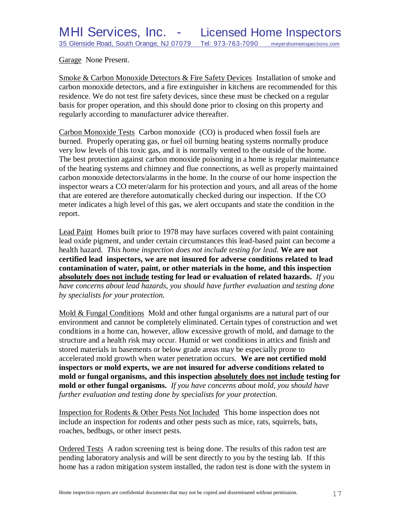Garage None Present.

Smoke & Carbon Monoxide Detectors & Fire Safety Devices Installation of smoke and carbon monoxide detectors, and a fire extinguisher in kitchens are recommended for this residence. We do not test fire safety devices, since these must be checked on a regular basis for proper operation, and this should done prior to closing on this property and regularly according to manufacturer advice thereafter.

Carbon Monoxide Tests Carbon monoxide (CO) is produced when fossil fuels are burned. Properly operating gas, or fuel oil burning heating systems normally produce very low levels of this toxic gas, and it is normally vented to the outside of the home. The best protection against carbon monoxide poisoning in a home is regular maintenance of the heating systems and chimney and flue connections, as well as properly maintained carbon monoxide detectors/alarms in the home. In the course of our home inspection the inspector wears a CO meter/alarm for his protection and yours, and all areas of the home that are entered are therefore automatically checked during our inspection. If the CO meter indicates a high level of this gas, we alert occupants and state the condition in the report.

Lead Paint Homes built prior to 1978 may have surfaces covered with paint containing lead oxide pigment, and under certain circumstances this lead-based paint can become a health hazard. *This home inspection does not include testing for lead.* **We are not certified lead inspectors, we are not insured for adverse conditions related to lead contamination of water, paint, or other materials in the home, and this inspection absolutely does not include testing for lead or evaluation of related hazards.** *If you have concerns about lead hazards, you should have further evaluation and testing done by specialists for your protection.*

Mold & Fungal Conditions Mold and other fungal organisms are a natural part of our environment and cannot be completely eliminated. Certain types of construction and wet conditions in a home can, however, allow excessive growth of mold, and damage to the structure and a health risk may occur. Humid or wet conditions in attics and finish and stored materials in basements or below grade areas may be especially prone to accelerated mold growth when water penetration occurs. **We are not certified mold inspectors or mold experts, we are not insured for adverse conditions related to mold or fungal organisms, and this inspection absolutely does not include testing for mold or other fungal organisms.** *If you have concerns about mold, you should have further evaluation and testing done by specialists for your protection.*

Inspection for Rodents & Other Pests Not Included This home inspection does not include an inspection for rodents and other pests such as mice, rats, squirrels, bats, roaches, bedbugs, or other insect pests.

Ordered Tests A radon screening test is being done. The results of this radon test are pending laboratory analysis and will be sent directly to you by the testing lab. If this home has a radon mitigation system installed, the radon test is done with the system in